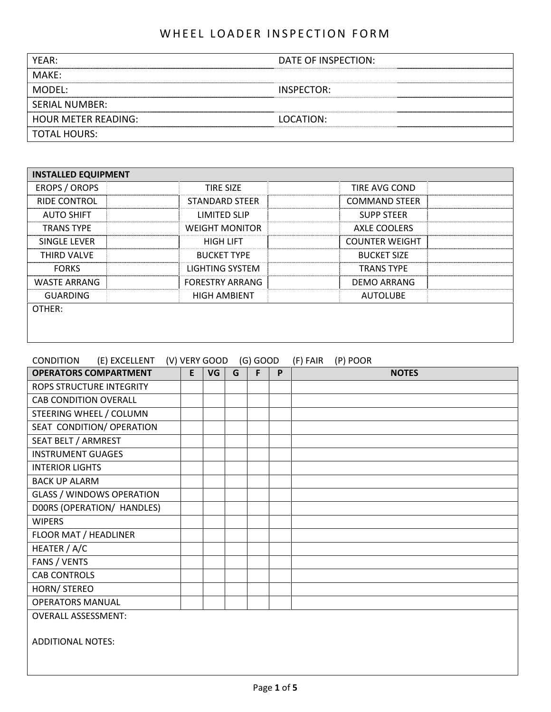| YEAR:                      | DATE OF INSPECTION: |
|----------------------------|---------------------|
| MAKE:                      |                     |
| MODEL:                     | INSPECTOR:          |
| <b>SERIAL NUMBER:</b>      |                     |
| <b>HOUR METER READING:</b> | LOCATION:           |
| TOTAL HOURS:               |                     |

| <b>INSTALLED EQUIPMENT</b> |                        |                       |  |
|----------------------------|------------------------|-----------------------|--|
| EROPS / OROPS              | <b>TIRF SIZF</b>       | TIRE AVG COND         |  |
| <b>RIDE CONTROL</b>        | STANDARD STEER         | <b>COMMAND STEER</b>  |  |
| <b>AUTO SHIFT</b>          | LIMITED SLIP           | <b>SUPP STEER</b>     |  |
| <b>TRANS TYPF</b>          | <b>WEIGHT MONITOR</b>  | AXLE COOLERS          |  |
| <b>SINGLE LEVER</b>        | <b>HIGH LIFT</b>       | <b>COUNTER WEIGHT</b> |  |
| <b>THIRD VALVE</b>         | <b>BUCKET TYPE</b>     | <b>BUCKET SIZE</b>    |  |
| <b>FORKS</b>               | LIGHTING SYSTEM        | <b>TRANS TYPE</b>     |  |
| <b>WASTE ARRANG</b>        | <b>FORESTRY ARRANG</b> | <b>DEMO ARRANG</b>    |  |
| <b>GUARDING</b>            | <b>HIGH AMBIENT</b>    | <b>AUTOLUBE</b>       |  |
| OTHER:                     |                        |                       |  |
|                            |                        |                       |  |
|                            |                        |                       |  |

| (E) EXCELLENT<br><b>CONDITION</b> |   | (V) VERY GOOD |   | $(G)$ GOOD |   | (F) FAIR | (P) POOR     |  |
|-----------------------------------|---|---------------|---|------------|---|----------|--------------|--|
| <b>OPERATORS COMPARTMENT</b>      | E | VG            | G | F          | P |          | <b>NOTES</b> |  |
| <b>ROPS STRUCTURE INTEGRITY</b>   |   |               |   |            |   |          |              |  |
| <b>CAB CONDITION OVERALL</b>      |   |               |   |            |   |          |              |  |
| STEERING WHEEL / COLUMN           |   |               |   |            |   |          |              |  |
| SEAT CONDITION/ OPERATION         |   |               |   |            |   |          |              |  |
| SEAT BELT / ARMREST               |   |               |   |            |   |          |              |  |
| <b>INSTRUMENT GUAGES</b>          |   |               |   |            |   |          |              |  |
| <b>INTERIOR LIGHTS</b>            |   |               |   |            |   |          |              |  |
| <b>BACK UP ALARM</b>              |   |               |   |            |   |          |              |  |
| <b>GLASS / WINDOWS OPERATION</b>  |   |               |   |            |   |          |              |  |
| DOORS (OPERATION/ HANDLES)        |   |               |   |            |   |          |              |  |
| <b>WIPERS</b>                     |   |               |   |            |   |          |              |  |
| FLOOR MAT / HEADLINER             |   |               |   |            |   |          |              |  |
| HEATER / A/C                      |   |               |   |            |   |          |              |  |
| FANS / VENTS                      |   |               |   |            |   |          |              |  |
| <b>CAB CONTROLS</b>               |   |               |   |            |   |          |              |  |
| HORN/ STEREO                      |   |               |   |            |   |          |              |  |
| <b>OPERATORS MANUAL</b>           |   |               |   |            |   |          |              |  |
| <b>OVERALL ASSESSMENT:</b>        |   |               |   |            |   |          |              |  |
| <b>ADDITIONAL NOTES:</b>          |   |               |   |            |   |          |              |  |
|                                   |   |               |   |            |   |          |              |  |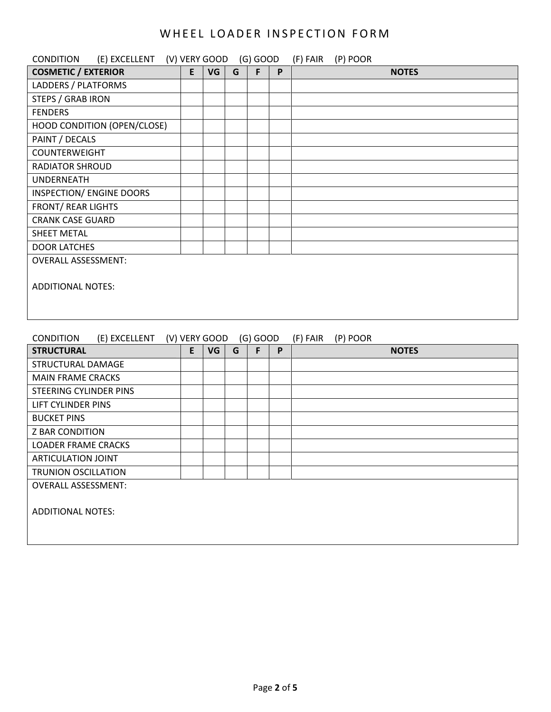| (E) EXCELLENT (V) VERY GOOD<br><b>CONDITION</b> |   |    |   | $(G)$ GOOD |   | (F) FAIR (P) POOR |
|-------------------------------------------------|---|----|---|------------|---|-------------------|
| <b>COSMETIC / EXTERIOR</b>                      | E | VG | G | F          | P | <b>NOTES</b>      |
| LADDERS / PLATFORMS                             |   |    |   |            |   |                   |
| STEPS / GRAB IRON                               |   |    |   |            |   |                   |
| <b>FENDERS</b>                                  |   |    |   |            |   |                   |
| HOOD CONDITION (OPEN/CLOSE)                     |   |    |   |            |   |                   |
| PAINT / DECALS                                  |   |    |   |            |   |                   |
| <b>COUNTERWEIGHT</b>                            |   |    |   |            |   |                   |
| <b>RADIATOR SHROUD</b>                          |   |    |   |            |   |                   |
| <b>UNDERNEATH</b>                               |   |    |   |            |   |                   |
| INSPECTION/ ENGINE DOORS                        |   |    |   |            |   |                   |
| <b>FRONT/ REAR LIGHTS</b>                       |   |    |   |            |   |                   |
| <b>CRANK CASE GUARD</b>                         |   |    |   |            |   |                   |
| <b>SHEET METAL</b>                              |   |    |   |            |   |                   |
| <b>DOOR LATCHES</b>                             |   |    |   |            |   |                   |
| <b>OVERALL ASSESSMENT:</b>                      |   |    |   |            |   |                   |
| <b>ADDITIONAL NOTES:</b>                        |   |    |   |            |   |                   |
|                                                 |   |    |   |            |   |                   |
|                                                 |   |    |   |            |   |                   |

| <b>CONDITION</b>           | (E) EXCELLENT |   | (V) VERY GOOD |   | $(G)$ GOOD |   | (F) FAIR | (P) POOR |              |
|----------------------------|---------------|---|---------------|---|------------|---|----------|----------|--------------|
| <b>STRUCTURAL</b>          |               | E | VG            | G | F          | P |          |          | <b>NOTES</b> |
| STRUCTURAL DAMAGE          |               |   |               |   |            |   |          |          |              |
| <b>MAIN FRAME CRACKS</b>   |               |   |               |   |            |   |          |          |              |
| STEERING CYLINDER PINS     |               |   |               |   |            |   |          |          |              |
| LIFT CYLINDER PINS         |               |   |               |   |            |   |          |          |              |
| <b>BUCKET PINS</b>         |               |   |               |   |            |   |          |          |              |
| <b>Z BAR CONDITION</b>     |               |   |               |   |            |   |          |          |              |
| <b>LOADER FRAME CRACKS</b> |               |   |               |   |            |   |          |          |              |
| ARTICULATION JOINT         |               |   |               |   |            |   |          |          |              |
| <b>TRUNION OSCILLATION</b> |               |   |               |   |            |   |          |          |              |
| <b>OVERALL ASSESSMENT:</b> |               |   |               |   |            |   |          |          |              |
|                            |               |   |               |   |            |   |          |          |              |
| <b>ADDITIONAL NOTES:</b>   |               |   |               |   |            |   |          |          |              |
|                            |               |   |               |   |            |   |          |          |              |
|                            |               |   |               |   |            |   |          |          |              |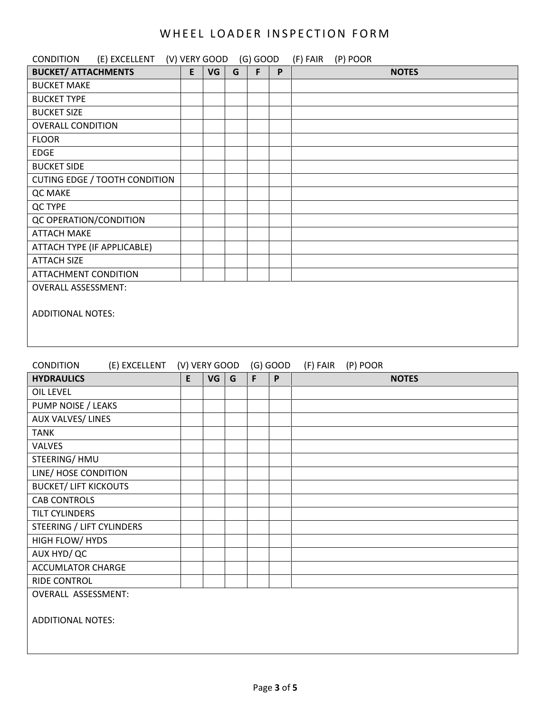| <b>CONDITION</b><br>(E) EXCELLENT (V) VERY GOOD |               |           |   | $(G)$ GOOD |              | (F) FAIR<br>(P) POOR |
|-------------------------------------------------|---------------|-----------|---|------------|--------------|----------------------|
| <b>BUCKET/ ATTACHMENTS</b>                      | E             | VG        | G | F          | P            | <b>NOTES</b>         |
| <b>BUCKET MAKE</b>                              |               |           |   |            |              |                      |
| <b>BUCKET TYPE</b>                              |               |           |   |            |              |                      |
| <b>BUCKET SIZE</b>                              |               |           |   |            |              |                      |
| <b>OVERALL CONDITION</b>                        |               |           |   |            |              |                      |
| <b>FLOOR</b>                                    |               |           |   |            |              |                      |
| <b>EDGE</b>                                     |               |           |   |            |              |                      |
| <b>BUCKET SIDE</b>                              |               |           |   |            |              |                      |
| <b>CUTING EDGE / TOOTH CONDITION</b>            |               |           |   |            |              |                      |
| QC MAKE                                         |               |           |   |            |              |                      |
| QC TYPE                                         |               |           |   |            |              |                      |
| QC OPERATION/CONDITION                          |               |           |   |            |              |                      |
| <b>ATTACH MAKE</b>                              |               |           |   |            |              |                      |
| ATTACH TYPE (IF APPLICABLE)                     |               |           |   |            |              |                      |
| <b>ATTACH SIZE</b>                              |               |           |   |            |              |                      |
| <b>ATTACHMENT CONDITION</b>                     |               |           |   |            |              |                      |
| <b>OVERALL ASSESSMENT:</b>                      |               |           |   |            |              |                      |
|                                                 |               |           |   |            |              |                      |
| <b>ADDITIONAL NOTES:</b>                        |               |           |   |            |              |                      |
|                                                 |               |           |   |            |              |                      |
|                                                 |               |           |   |            |              |                      |
|                                                 |               |           |   |            |              |                      |
| <b>CONDITION</b><br>(E) EXCELLENT               | (V) VERY GOOD |           |   |            | $(G)$ GOOD   | (F) FAIR<br>(P) POOR |
| <b>HYDRAULICS</b>                               | E             | <b>VG</b> | G | F          | $\mathsf{P}$ | <b>NOTES</b>         |
| <b>OIL LEVEL</b>                                |               |           |   |            |              |                      |
| PUMP NOISE / LEAKS                              |               |           |   |            |              |                      |
| <b>AUX VALVES/LINES</b>                         |               |           |   |            |              |                      |

| <b>TANK</b>                  |  |  |  |
|------------------------------|--|--|--|
| VALVES                       |  |  |  |
| STEERING/HMU                 |  |  |  |
| LINE/ HOSE CONDITION         |  |  |  |
| <b>BUCKET/ LIFT KICKOUTS</b> |  |  |  |
| <b>CAB CONTROLS</b>          |  |  |  |
| TILT CYLINDERS               |  |  |  |
| STEERING / LIFT CYLINDERS    |  |  |  |
| HIGH FLOW/ HYDS              |  |  |  |
| AUX HYD/QC                   |  |  |  |
| <b>ACCUMLATOR CHARGE</b>     |  |  |  |
| RIDE CONTROL                 |  |  |  |
| OVERALL ASSESSMENT:          |  |  |  |
|                              |  |  |  |
| <b>ADDITIONAL NOTES:</b>     |  |  |  |
|                              |  |  |  |
|                              |  |  |  |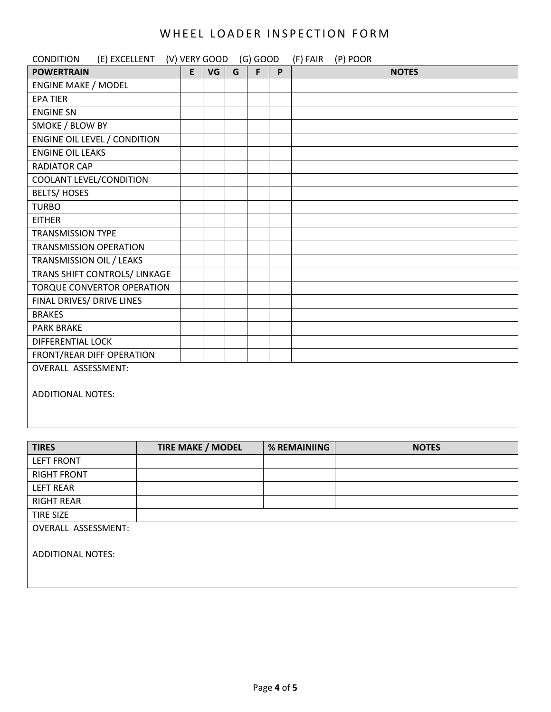| <b>CONDITION</b><br>(E) EXCELLENT (V) VERY GOOD (G) GOOD |   |    |   |   |   | (P) POOR<br>(F) FAIR |
|----------------------------------------------------------|---|----|---|---|---|----------------------|
| <b>POWERTRAIN</b>                                        | E | VG | G | F | P | <b>NOTES</b>         |
| <b>ENGINE MAKE / MODEL</b>                               |   |    |   |   |   |                      |
| <b>EPA TIER</b>                                          |   |    |   |   |   |                      |
| <b>ENGINE SN</b>                                         |   |    |   |   |   |                      |
| SMOKE / BLOW BY                                          |   |    |   |   |   |                      |
| <b>ENGINE OIL LEVEL / CONDITION</b>                      |   |    |   |   |   |                      |
| <b>ENGINE OIL LEAKS</b>                                  |   |    |   |   |   |                      |
| <b>RADIATOR CAP</b>                                      |   |    |   |   |   |                      |
| COOLANT LEVEL/CONDITION                                  |   |    |   |   |   |                      |
| <b>BELTS/HOSES</b>                                       |   |    |   |   |   |                      |
| <b>TURBO</b>                                             |   |    |   |   |   |                      |
| <b>EITHER</b>                                            |   |    |   |   |   |                      |
| <b>TRANSMISSION TYPE</b>                                 |   |    |   |   |   |                      |
| <b>TRANSMISSION OPERATION</b>                            |   |    |   |   |   |                      |
| TRANSMISSION OIL / LEAKS                                 |   |    |   |   |   |                      |
| TRANS SHIFT CONTROLS/ LINKAGE                            |   |    |   |   |   |                      |
| <b>TORQUE CONVERTOR OPERATION</b>                        |   |    |   |   |   |                      |
| FINAL DRIVES/ DRIVE LINES                                |   |    |   |   |   |                      |
| <b>BRAKES</b>                                            |   |    |   |   |   |                      |
| <b>PARK BRAKE</b>                                        |   |    |   |   |   |                      |
| <b>DIFFERENTIAL LOCK</b>                                 |   |    |   |   |   |                      |
| FRONT/REAR DIFF OPERATION                                |   |    |   |   |   |                      |
| <b>OVERALL ASSESSMENT:</b>                               |   |    |   |   |   |                      |
| <b>ADDITIONAL NOTES:</b>                                 |   |    |   |   |   |                      |
|                                                          |   |    |   |   |   |                      |

| <b>TIRES</b>               | <b>TIRE MAKE / MODEL</b> | % REMAINIING | <b>NOTES</b> |
|----------------------------|--------------------------|--------------|--------------|
| <b>LEFT FRONT</b>          |                          |              |              |
| <b>RIGHT FRONT</b>         |                          |              |              |
| <b>LEFT REAR</b>           |                          |              |              |
| <b>RIGHT REAR</b>          |                          |              |              |
| <b>TIRE SIZE</b>           |                          |              |              |
| <b>OVERALL ASSESSMENT:</b> |                          |              |              |
| <b>ADDITIONAL NOTES:</b>   |                          |              |              |
|                            |                          |              |              |